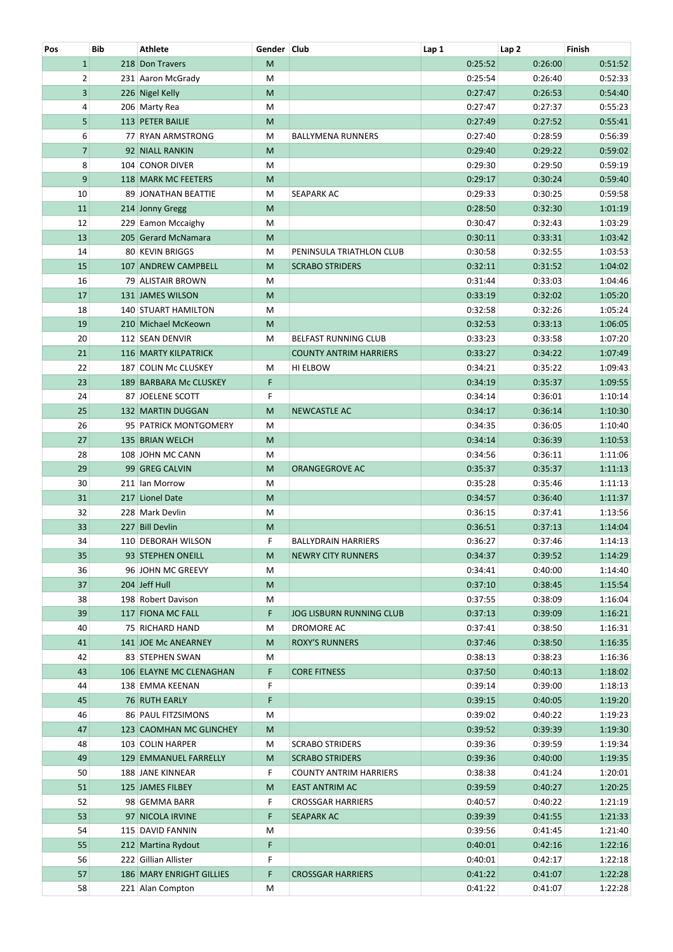| Pos            | Bib | <b>Athlete</b>                  | Gender Club |                                 | Lap 1   | Lap <sub>2</sub> | Finish  |
|----------------|-----|---------------------------------|-------------|---------------------------------|---------|------------------|---------|
| $\mathbf{1}$   |     | 218 Don Travers                 | M           |                                 | 0:25:52 | 0:26:00          | 0:51:52 |
| $\overline{2}$ |     | 231 Aaron McGrady               | M           |                                 | 0:25:54 | 0:26:40          | 0:52:33 |
| 3              |     | 226 Nigel Kelly                 | M           |                                 | 0:27:47 | 0:26:53          | 0:54:40 |
| 4              |     | 206 Marty Rea                   | M           |                                 | 0:27:47 | 0:27:37          | 0:55:23 |
| 5              |     | 113 PETER BAILIE                | M           |                                 | 0:27:49 | 0:27:52          | 0:55:41 |
| 6              |     | 77 RYAN ARMSTRONG               | M           | <b>BALLYMENA RUNNERS</b>        | 0:27:40 | 0:28:59          | 0:56:39 |
| $\overline{7}$ |     | 92 NIALL RANKIN                 | M           |                                 | 0:29:40 | 0:29:22          | 0:59:02 |
| 8              |     | 104 CONOR DIVER                 | M           |                                 | 0:29:30 | 0:29:50          | 0:59:19 |
| 9              |     | 118 MARK MC FEETERS             | M           |                                 | 0:29:17 | 0:30:24          | 0:59:40 |
| 10             |     | 89 JONATHAN BEATTIE             | M           | <b>SEAPARK AC</b>               | 0:29:33 | 0:30:25          | 0:59:58 |
| 11             |     |                                 |             |                                 |         |                  |         |
|                |     | 214 Jonny Gregg                 | M           |                                 | 0:28:50 | 0:32:30          | 1:01:19 |
| 12             |     | 229 Eamon Mccaighy              | M           |                                 | 0:30:47 | 0:32:43          | 1:03:29 |
| 13             |     | 205 Gerard McNamara             | M           |                                 | 0:30:11 | 0:33:31          | 1:03:42 |
| 14             |     | 80 KEVIN BRIGGS                 | M           | PENINSULA TRIATHLON CLUB        | 0:30:58 | 0:32:55          | 1:03:53 |
| 15             |     | 107 ANDREW CAMPBELL             | M           | <b>SCRABO STRIDERS</b>          | 0:32:11 | 0:31:52          | 1:04:02 |
| 16             |     | 79 ALISTAIR BROWN               | M           |                                 | 0:31:44 | 0:33:03          | 1:04:46 |
| 17             |     | 131 JAMES WILSON                | M           |                                 | 0:33:19 | 0:32:02          | 1:05:20 |
| 18             |     | 140 STUART HAMILTON             | M           |                                 | 0:32:58 | 0:32:26          | 1:05:24 |
| 19             |     | 210 Michael McKeown             | M           |                                 | 0:32:53 | 0:33:13          | 1:06:05 |
| 20             |     | 112 SEAN DENVIR                 | М           | <b>BELFAST RUNNING CLUB</b>     | 0:33:23 | 0:33:58          | 1:07:20 |
| 21             |     | 116 MARTY KILPATRICK            |             | <b>COUNTY ANTRIM HARRIERS</b>   | 0:33:27 | 0:34:22          | 1:07:49 |
| 22             |     | 187 COLIN Mc CLUSKEY            | М           | HI ELBOW                        | 0:34:21 | 0:35:22          | 1:09:43 |
| 23             |     | 189 BARBARA Mc CLUSKEY          | F           |                                 | 0:34:19 | 0:35:37          | 1:09:55 |
| 24             |     | 87 JOELENE SCOTT                | F           |                                 | 0:34:14 | 0:36:01          | 1:10:14 |
| 25             |     | 132 MARTIN DUGGAN               | M           | <b>NEWCASTLE AC</b>             | 0:34:17 | 0:36:14          | 1:10:30 |
| 26             |     | 95 PATRICK MONTGOMERY           | М           |                                 | 0:34:35 | 0:36:05          | 1:10:40 |
| 27             |     | 135 BRIAN WELCH                 | M           |                                 | 0:34:14 | 0:36:39          | 1:10:53 |
| 28             |     | 108 JOHN MC CANN                | M           |                                 | 0:34:56 | 0:36:11          | 1:11:06 |
| 29             |     | 99 GREG CALVIN                  | M           | ORANGEGROVE AC                  | 0:35:37 | 0:35:37          | 1:11:13 |
| 30             |     | 211 Ian Morrow                  | M           |                                 | 0:35:28 | 0:35:46          | 1:11:13 |
| 31             |     | 217 Lionel Date                 | M           |                                 | 0:34:57 | 0:36:40          | 1:11:37 |
| 32             |     | 228 Mark Devlin                 | M           |                                 | 0:36:15 | 0:37:41          | 1:13:56 |
| 33             |     | 227 Bill Devlin                 | M           |                                 | 0:36:51 | 0:37:13          | 1:14:04 |
|                |     |                                 |             |                                 |         |                  |         |
| 34             |     | 110 DEBORAH WILSON              | F           | <b>BALLYDRAIN HARRIERS</b>      | 0:36:27 | 0:37:46          | 1:14:13 |
| 35             |     | 93 STEPHEN ONEILL               | M           | NEWRY CITY RUNNERS              | 0:34:37 | 0:39:52          | 1:14:29 |
| 36             |     | 96 JOHN MC GREEVY               | М           |                                 | 0:34:41 | 0:40:00          | 1:14:40 |
| 37             |     | 204 Jeff Hull                   | ${\sf M}$   |                                 | 0:37:10 | 0:38:45          | 1:15:54 |
| 38             |     | 198 Robert Davison              | M           |                                 | 0:37:55 | 0:38:09          | 1:16:04 |
| 39             |     | 117 FIONA MC FALL               | F           | <b>JOG LISBURN RUNNING CLUB</b> | 0:37:13 | 0:39:09          | 1:16:21 |
| 40             |     | 75 RICHARD HAND                 | M           | DROMORE AC                      | 0:37:41 | 0:38:50          | 1:16:31 |
| 41             |     | 141 JOE Mc ANEARNEY             | M           | <b>ROXY'S RUNNERS</b>           | 0:37:46 | 0:38:50          | 1:16:35 |
| 42             |     | 83 STEPHEN SWAN                 | M           |                                 | 0:38:13 | 0:38:23          | 1:16:36 |
| 43             |     | 106 ELAYNE MC CLENAGHAN         | F           | <b>CORE FITNESS</b>             | 0:37:50 | 0:40:13          | 1:18:02 |
| 44             |     | 138 EMMA KEENAN                 | F           |                                 | 0:39:14 | 0:39:00          | 1:18:13 |
| 45             |     | 76 RUTH EARLY                   | F           |                                 | 0:39:15 | 0:40:05          | 1:19:20 |
| 46             |     | 86 PAUL FITZSIMONS              | М           |                                 | 0:39:02 | 0:40:22          | 1:19:23 |
| 47             |     | 123 CAOMHAN MC GLINCHEY         | M           |                                 | 0:39:52 | 0:39:39          | 1:19:30 |
| 48             |     | 103 COLIN HARPER                | М           | <b>SCRABO STRIDERS</b>          | 0:39:36 | 0:39:59          | 1:19:34 |
| 49             |     | 129 EMMANUEL FARRELLY           | M           | <b>SCRABO STRIDERS</b>          | 0:39:36 | 0:40:00          | 1:19:35 |
| 50             |     | 188 JANE KINNEAR                | F           | <b>COUNTY ANTRIM HARRIERS</b>   | 0:38:38 | 0:41:24          | 1:20:01 |
| 51             |     | 125 JAMES FILBEY                | M           | <b>EAST ANTRIM AC</b>           | 0:39:59 | 0:40:27          | 1:20:25 |
| 52             |     | 98 GEMMA BARR                   | F           | <b>CROSSGAR HARRIERS</b>        | 0:40:57 | 0:40:22          | 1:21:19 |
| 53             |     | 97 NICOLA IRVINE                | F.          | <b>SEAPARK AC</b>               | 0:39:39 | 0:41:55          | 1:21:33 |
| 54             |     | 115 DAVID FANNIN                | М           |                                 | 0:39:56 | 0:41:45          | 1:21:40 |
| 55             |     | 212 Martina Rydout              | F           |                                 | 0:40:01 | 0:42:16          | 1:22:16 |
| 56             |     | 222 Gillian Allister            | F           |                                 | 0:40:01 | 0:42:17          | 1:22:18 |
| 57             |     | <b>186 MARY ENRIGHT GILLIES</b> |             |                                 | 0:41:22 |                  | 1:22:28 |
|                |     |                                 | F           | <b>CROSSGAR HARRIERS</b>        |         | 0:41:07          |         |
| 58             |     | 221 Alan Compton                | M           |                                 | 0:41:22 | 0:41:07          | 1:22:28 |